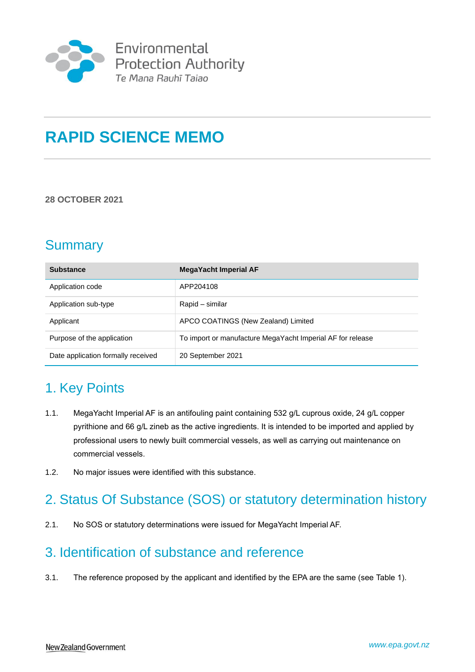

# **RAPID SCIENCE MEMO**

#### **28 OCTOBER 2021**

## **Summary**

| <b>Substance</b>                   | <b>MegaYacht Imperial AF</b>                               |
|------------------------------------|------------------------------------------------------------|
| Application code                   | APP204108                                                  |
| Application sub-type               | Rapid – similar                                            |
| Applicant                          | APCO COATINGS (New Zealand) Limited                        |
| Purpose of the application         | To import or manufacture MegaYacht Imperial AF for release |
| Date application formally received | 20 September 2021                                          |

## 1. Key Points

- 1.1. MegaYacht Imperial AF is an antifouling paint containing 532 g/L cuprous oxide, 24 g/L copper pyrithione and 66 g/L zineb as the active ingredients. It is intended to be imported and applied by professional users to newly built commercial vessels, as well as carrying out maintenance on commercial vessels.
- 1.2. No major issues were identified with this substance.

## 2. Status Of Substance (SOS) or statutory determination history

2.1. No SOS or statutory determinations were issued for MegaYacht Imperial AF.

## 3. Identification of substance and reference

3.1. The reference proposed by the applicant and identified by the EPA are the same (see Table 1).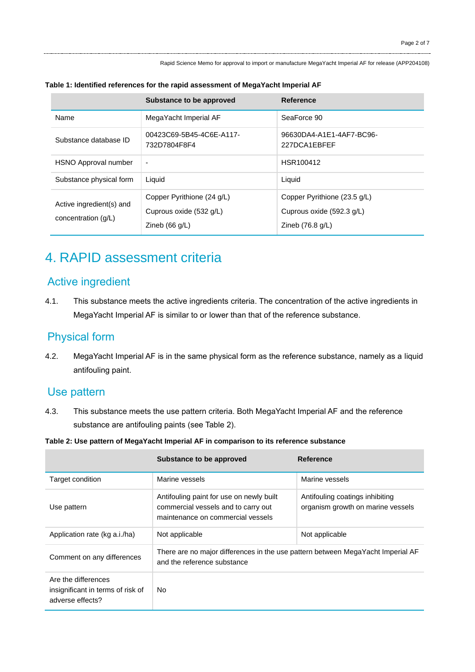|                                                   | Substance to be approved                                                  | Reference                                                                               |
|---------------------------------------------------|---------------------------------------------------------------------------|-----------------------------------------------------------------------------------------|
| Name                                              | MegaYacht Imperial AF                                                     | SeaForce 90                                                                             |
| Substance database ID                             | 00423C69-5B45-4C6E-A117-<br>732D7804F8F4                                  | 96630DA4-A1E1-4AF7-BC96-<br>227DCA1FBFFF                                                |
| <b>HSNO Approval number</b>                       | $\overline{\phantom{a}}$                                                  | HSR100412                                                                               |
| Substance physical form                           | Liquid                                                                    | Liquid                                                                                  |
| Active ingredient(s) and<br>concentration $(g/L)$ | Copper Pyrithione (24 g/L)<br>Cuprous oxide (532 g/L)<br>Zineb $(66 g/L)$ | Copper Pyrithione (23.5 g/L)<br>Cuprous oxide (592.3 g/L)<br>Zineb $(76.8 \text{ g/L})$ |

#### **Table 1: Identified references for the rapid assessment of MegaYacht Imperial AF**

## 4. RAPID assessment criteria

## Active ingredient

4.1. This substance meets the active ingredients criteria. The concentration of the active ingredients in MegaYacht Imperial AF is similar to or lower than that of the reference substance.

### Physical form

4.2. MegaYacht Imperial AF is in the same physical form as the reference substance, namely as a liquid antifouling paint.

### Use pattern

- 4.3. This substance meets the use pattern criteria. Both MegaYacht Imperial AF and the reference substance are antifouling paints (see Table 2).
- **Table 2: Use pattern of MegaYacht Imperial AF in comparison to its reference substance**

|                                                                              | Substance to be approved                                                                                             | Reference                                                            |
|------------------------------------------------------------------------------|----------------------------------------------------------------------------------------------------------------------|----------------------------------------------------------------------|
| Target condition                                                             | Marine vessels                                                                                                       | Marine vessels                                                       |
| Use pattern                                                                  | Antifouling paint for use on newly built<br>commercial vessels and to carry out<br>maintenance on commercial vessels | Antifouling coatings inhibiting<br>organism growth on marine vessels |
| Application rate (kg a.i./ha)                                                | Not applicable                                                                                                       | Not applicable                                                       |
| Comment on any differences                                                   | There are no major differences in the use pattern between MegaYacht Imperial AF<br>and the reference substance       |                                                                      |
| Are the differences<br>insignificant in terms of risk of<br>adverse effects? | No                                                                                                                   |                                                                      |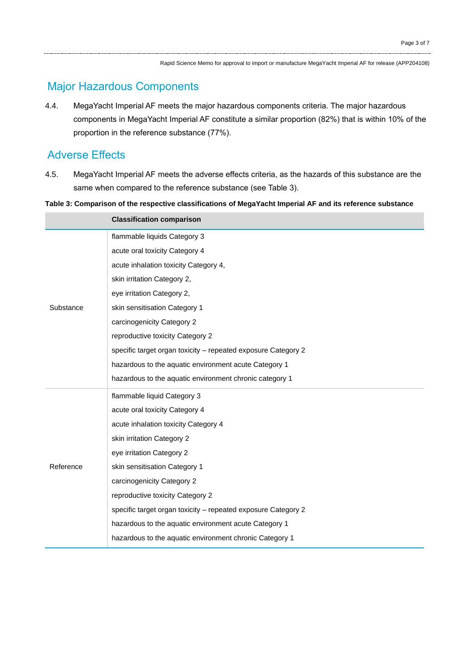## Major Hazardous Components

4.4. MegaYacht Imperial AF meets the major hazardous components criteria. The major hazardous components in MegaYacht Imperial AF constitute a similar proportion (82%) that is within 10% of the proportion in the reference substance (77%).

## Adverse Effects

4.5. MegaYacht Imperial AF meets the adverse effects criteria, as the hazards of this substance are the same when compared to the reference substance (see Table 3).

**Table 3: Comparison of the respective classifications of MegaYacht Imperial AF and its reference substance**

|           | <b>Classification comparison</b>                              |
|-----------|---------------------------------------------------------------|
| Substance | flammable liquids Category 3                                  |
|           | acute oral toxicity Category 4                                |
|           | acute inhalation toxicity Category 4,                         |
|           | skin irritation Category 2,                                   |
|           | eye irritation Category 2,                                    |
|           | skin sensitisation Category 1                                 |
|           | carcinogenicity Category 2                                    |
|           | reproductive toxicity Category 2                              |
|           | specific target organ toxicity - repeated exposure Category 2 |
|           | hazardous to the aquatic environment acute Category 1         |
|           | hazardous to the aquatic environment chronic category 1       |
| Reference | flammable liquid Category 3                                   |
|           | acute oral toxicity Category 4                                |
|           | acute inhalation toxicity Category 4                          |
|           | skin irritation Category 2                                    |
|           | eye irritation Category 2                                     |
|           | skin sensitisation Category 1                                 |
|           | carcinogenicity Category 2                                    |
|           | reproductive toxicity Category 2                              |
|           | specific target organ toxicity - repeated exposure Category 2 |
|           | hazardous to the aquatic environment acute Category 1         |
|           | hazardous to the aquatic environment chronic Category 1       |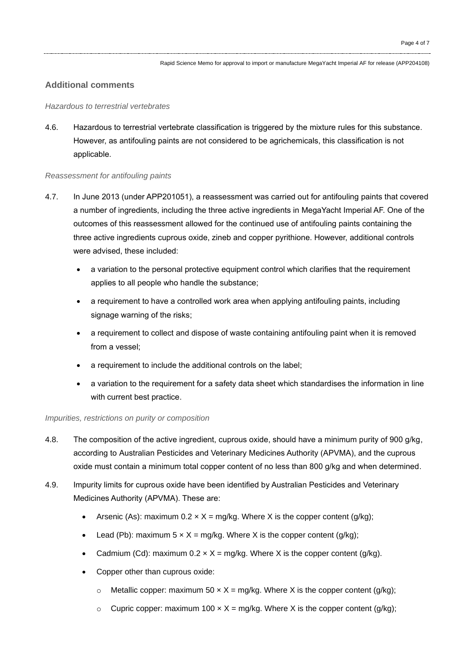#### **Additional comments**

#### *Hazardous to terrestrial vertebrates*

4.6. Hazardous to terrestrial vertebrate classification is triggered by the mixture rules for this substance. However, as antifouling paints are not considered to be agrichemicals, this classification is not applicable.

#### *Reassessment for antifouling paints*

- 4.7. In June 2013 (under APP201051), a reassessment was carried out for antifouling paints that covered a number of ingredients, including the three active ingredients in MegaYacht Imperial AF. One of the outcomes of this reassessment allowed for the continued use of antifouling paints containing the three active ingredients cuprous oxide, zineb and copper pyrithione. However, additional controls were advised, these included:
	- a variation to the personal protective equipment control which clarifies that the requirement applies to all people who handle the substance;
	- a requirement to have a controlled work area when applying antifouling paints, including signage warning of the risks;
	- a requirement to collect and dispose of waste containing antifouling paint when it is removed from a vessel;
	- a requirement to include the additional controls on the label;
	- a variation to the requirement for a safety data sheet which standardises the information in line with current best practice.

#### *Impurities, restrictions on purity or composition*

- 4.8. The composition of the active ingredient, cuprous oxide, should have a minimum purity of 900 g/kg, according to Australian Pesticides and Veterinary Medicines Authority (APVMA), and the cuprous oxide must contain a minimum total copper content of no less than 800 g/kg and when determined.
- 4.9. Impurity limits for cuprous oxide have been identified by Australian Pesticides and Veterinary Medicines Authority (APVMA). These are:
	- Arsenic (As): maximum  $0.2 \times X = \text{mg/kg}$ . Where X is the copper content (g/kg);
	- Lead (Pb): maximum  $5 \times X = \text{mg/kg}$ . Where X is the copper content (g/kg);
	- Cadmium (Cd): maximum  $0.2 \times X =$  mg/kg. Where X is the copper content (g/kg).
	- Copper other than cuprous oxide:
		- $\circ$  Metallic copper: maximum 50 x X = mg/kg. Where X is the copper content (g/kg);
		- $\circ$  Cupric copper: maximum 100  $\times$  X = mg/kg. Where X is the copper content (g/kg);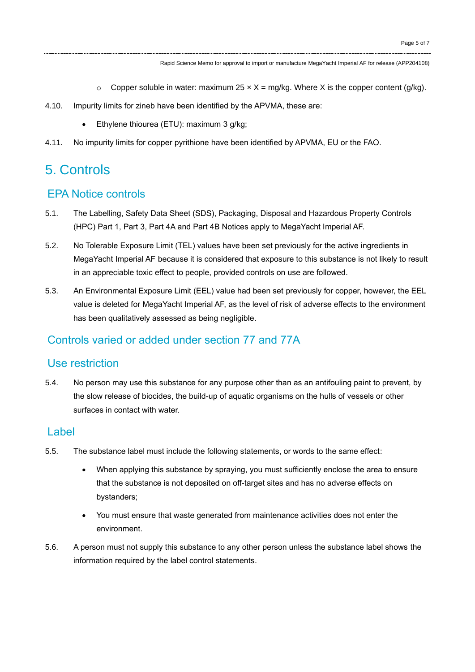- $\circ$  Copper soluble in water: maximum 25 x X = mg/kg. Where X is the copper content (g/kg).
- 4.10. Impurity limits for zineb have been identified by the APVMA, these are:
	- Ethylene thiourea (ETU): maximum 3 g/kg;
- 4.11. No impurity limits for copper pyrithione have been identified by APVMA, EU or the FAO.

## 5. Controls

### EPA Notice controls

- 5.1. The Labelling, Safety Data Sheet (SDS), Packaging, Disposal and Hazardous Property Controls (HPC) Part 1, Part 3, Part 4A and Part 4B Notices apply to MegaYacht Imperial AF.
- 5.2. No Tolerable Exposure Limit (TEL) values have been set previously for the active ingredients in MegaYacht Imperial AF because it is considered that exposure to this substance is not likely to result in an appreciable toxic effect to people, provided controls on use are followed.
- 5.3. An Environmental Exposure Limit (EEL) value had been set previously for copper, however, the EEL value is deleted for MegaYacht Imperial AF, as the level of risk of adverse effects to the environment has been qualitatively assessed as being negligible.

### Controls varied or added under section 77 and 77A

### Use restriction

5.4. No person may use this substance for any purpose other than as an antifouling paint to prevent, by the slow release of biocides, the build-up of aquatic organisms on the hulls of vessels or other surfaces in contact with water.

#### Label

- 5.5. The substance label must include the following statements, or words to the same effect:
	- When applying this substance by spraying, you must sufficiently enclose the area to ensure that the substance is not deposited on off-target sites and has no adverse effects on bystanders;
	- You must ensure that waste generated from maintenance activities does not enter the environment.
- 5.6. A person must not supply this substance to any other person unless the substance label shows the information required by the label control statements.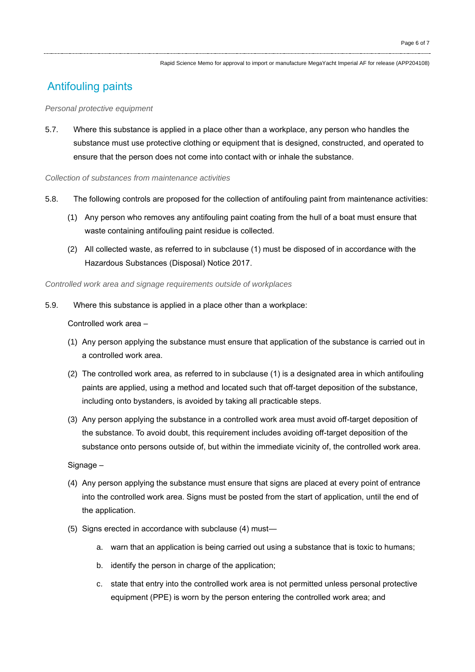## Antifouling paints

#### *Personal protective equipment*

5.7. Where this substance is applied in a place other than a workplace, any person who handles the substance must use protective clothing or equipment that is designed, constructed, and operated to ensure that the person does not come into contact with or inhale the substance.

#### *Collection of substances from maintenance activities*

- 5.8. The following controls are proposed for the collection of antifouling paint from maintenance activities:
	- (1) Any person who removes any antifouling paint coating from the hull of a boat must ensure that waste containing antifouling paint residue is collected.
	- (2) All collected waste, as referred to in subclause (1) must be disposed of in accordance with the Hazardous Substances (Disposal) Notice 2017.

*Controlled work area and signage requirements outside of workplaces*

5.9. Where this substance is applied in a place other than a workplace:

Controlled work area –

- (1) Any person applying the substance must ensure that application of the substance is carried out in a controlled work area.
- (2) The controlled work area, as referred to in subclause (1) is a designated area in which antifouling paints are applied, using a method and located such that off-target deposition of the substance, including onto bystanders, is avoided by taking all practicable steps.
- (3) Any person applying the substance in a controlled work area must avoid off-target deposition of the substance. To avoid doubt, this requirement includes avoiding off-target deposition of the substance onto persons outside of, but within the immediate vicinity of, the controlled work area.

Signage –

- (4) Any person applying the substance must ensure that signs are placed at every point of entrance into the controlled work area. Signs must be posted from the start of application, until the end of the application.
- (5) Signs erected in accordance with subclause (4) must
	- a. warn that an application is being carried out using a substance that is toxic to humans;
	- b. identify the person in charge of the application;
	- c. state that entry into the controlled work area is not permitted unless personal protective equipment (PPE) is worn by the person entering the controlled work area; and